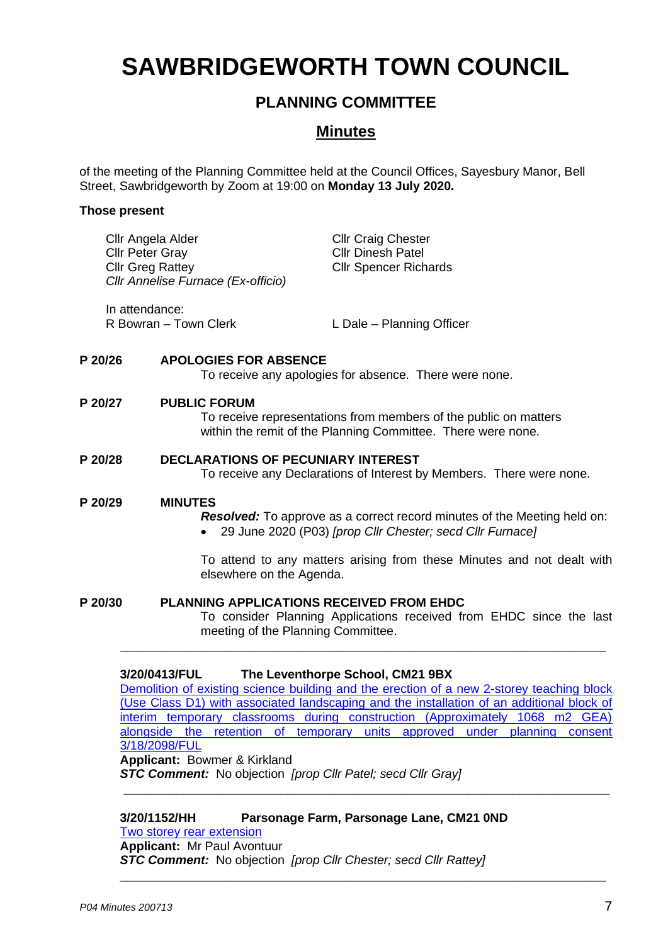# **SAWBRIDGEWORTH TOWN COUNCIL**

# **PLANNING COMMITTEE**

# **Minutes**

of the meeting of the Planning Committee held at the Council Offices, Sayesbury Manor, Bell Street, Sawbridgeworth by Zoom at 19:00 on **Monday 13 July 2020.**

## **Those present**

| Cllr Angela Alder<br>Cllr Peter Gray<br><b>Cllr Greg Rattey</b> | Cllr Annelise Furnace (Ex-officio)         | <b>Cllr Craig Chester</b><br><b>Cllr Dinesh Patel</b><br><b>Cllr Spencer Richards</b>                                                                                                                                  |  |
|-----------------------------------------------------------------|--------------------------------------------|------------------------------------------------------------------------------------------------------------------------------------------------------------------------------------------------------------------------|--|
| In attendance:                                                  | R Bowran - Town Clerk                      | L Dale - Planning Officer                                                                                                                                                                                              |  |
| P 20/26                                                         | <b>APOLOGIES FOR ABSENCE</b>               | To receive any apologies for absence. There were none.                                                                                                                                                                 |  |
| P 20/27                                                         | <b>PUBLIC FORUM</b>                        | To receive representations from members of the public on matters<br>within the remit of the Planning Committee. There were none.                                                                                       |  |
| P 20/28                                                         |                                            | <b>DECLARATIONS OF PECUNIARY INTEREST</b><br>To receive any Declarations of Interest by Members. There were none.                                                                                                      |  |
| P 20/29                                                         | <b>MINUTES</b><br>elsewhere on the Agenda. | <b>Resolved:</b> To approve as a correct record minutes of the Meeting held on:<br>29 June 2020 (P03) [prop Cllr Chester; secd Cllr Furnace]<br>To attend to any matters arising from these Minutes and not dealt with |  |
|                                                                 |                                            |                                                                                                                                                                                                                        |  |

**P 20/30 PLANNING APPLICATIONS RECEIVED FROM EHDC** To consider Planning Applications received from EHDC since the last meeting of the Planning Committee.

## **3/20/0413/FUL The Leventhorpe School, CM21 9BX**

[Demolition of existing science building and the erection of a new 2-storey teaching block](https://publicaccess.eastherts.gov.uk/online-applications/applicationDetails.do?activeTab=documents&keyVal=Q6BGLTGLFP600)  [\(Use Class D1\) with associated landscaping and the installation of an additional block of](https://publicaccess.eastherts.gov.uk/online-applications/applicationDetails.do?activeTab=documents&keyVal=Q6BGLTGLFP600)  [interim temporary classrooms during construction \(Approximately 1068 m2 GEA\)](https://publicaccess.eastherts.gov.uk/online-applications/applicationDetails.do?activeTab=documents&keyVal=Q6BGLTGLFP600)  [alongside the retention of temporary units approved under planning consent](https://publicaccess.eastherts.gov.uk/online-applications/applicationDetails.do?activeTab=documents&keyVal=Q6BGLTGLFP600)  [3/18/2098/FUL](https://publicaccess.eastherts.gov.uk/online-applications/applicationDetails.do?activeTab=documents&keyVal=Q6BGLTGLFP600)

**\_\_\_\_\_\_\_\_\_\_\_\_\_\_\_\_\_\_\_\_\_\_\_\_\_\_\_\_\_\_\_\_\_\_\_\_\_\_\_\_\_\_\_\_\_\_\_\_\_\_\_\_\_\_\_\_\_\_\_\_\_\_\_\_\_**

**Applicant:** Bowmer & Kirkland

*STC Comment:* No objection *[prop Cllr Patel; secd Cllr Gray]* **\_\_\_\_\_\_\_\_\_\_\_\_\_\_\_\_\_\_\_\_\_\_\_\_\_\_\_\_\_\_\_\_\_\_\_\_\_\_\_\_\_\_\_\_\_\_\_\_\_\_\_\_\_\_\_\_\_\_\_\_\_\_\_\_\_**

**3/20/1152/HH Parsonage Farm, Parsonage Lane, CM21 0ND**

**[Two storey rear extension](https://publicaccess.eastherts.gov.uk/online-applications/applicationDetails.do?activeTab=documents&keyVal=QCDLAGGLHA600) Applicant:** Mr Paul Avontuur *STC Comment:* No objection *[prop Cllr Chester; secd Cllr Rattey]* **\_\_\_\_\_\_\_\_\_\_\_\_\_\_\_\_\_\_\_\_\_\_\_\_\_\_\_\_\_\_\_\_\_\_\_\_\_\_\_\_\_\_\_\_\_\_\_\_\_\_\_\_\_\_\_\_\_\_\_\_\_\_\_\_\_**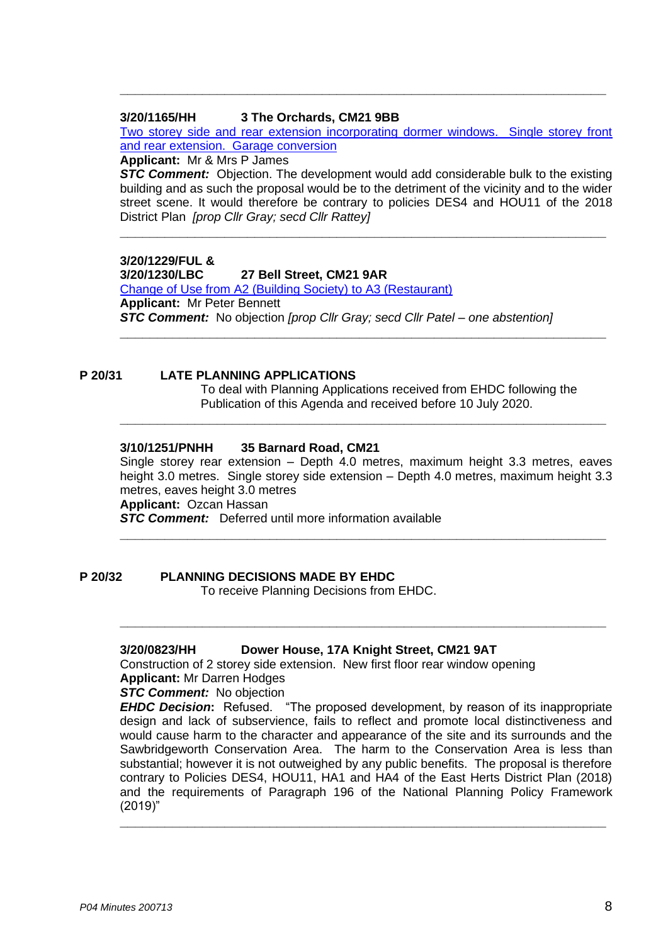#### **3/20/1165/HH 3 The Orchards, CM21 9BB**

[Two storey side and rear extension incorporating dormer windows. Single storey front](https://publicaccess.eastherts.gov.uk/online-applications/applicationDetails.do?activeTab=documents&keyVal=QCFFWXGLHB300)  [and rear extension. Garage conversion](https://publicaccess.eastherts.gov.uk/online-applications/applicationDetails.do?activeTab=documents&keyVal=QCFFWXGLHB300)

**\_\_\_\_\_\_\_\_\_\_\_\_\_\_\_\_\_\_\_\_\_\_\_\_\_\_\_\_\_\_\_\_\_\_\_\_\_\_\_\_\_\_\_\_\_\_\_\_\_\_\_\_\_\_\_\_\_\_\_\_\_\_\_\_\_**

**Applicant:** Mr & Mrs P James

**STC Comment:** Objection. The development would add considerable bulk to the existing building and as such the proposal would be to the detriment of the vicinity and to the wider street scene. It would therefore be contrary to policies DES4 and HOU11 of the 2018 District Plan *[prop Cllr Gray; secd Cllr Rattey]*

**\_\_\_\_\_\_\_\_\_\_\_\_\_\_\_\_\_\_\_\_\_\_\_\_\_\_\_\_\_\_\_\_\_\_\_\_\_\_\_\_\_\_\_\_\_\_\_\_\_\_\_\_\_\_\_\_\_\_\_\_\_\_\_\_\_**

**\_\_\_\_\_\_\_\_\_\_\_\_\_\_\_\_\_\_\_\_\_\_\_\_\_\_\_\_\_\_\_\_\_\_\_\_\_\_\_\_\_\_\_\_\_\_\_\_\_\_\_\_\_\_\_\_\_\_\_\_\_\_\_\_\_**

**\_\_\_\_\_\_\_\_\_\_\_\_\_\_\_\_\_\_\_\_\_\_\_\_\_\_\_\_\_\_\_\_\_\_\_\_\_\_\_\_\_\_\_\_\_\_\_\_\_\_\_\_\_\_\_\_\_\_\_\_\_\_\_\_\_**

# **3/20/1229/FUL &**

**3/20/1230/LBC 27 Bell Street, CM21 9AR** [Change of Use from A2 \(Building Society\) to A3 \(Restaurant\)](https://publicaccess.eastherts.gov.uk/online-applications/applicationDetails.do?activeTab=documents&keyVal=QCVST7GLHFX00) **Applicant:** Mr Peter Bennett *STC Comment:* No objection *[prop Cllr Gray; secd Cllr Patel – one abstention]*

#### **P 20/31 LATE PLANNING APPLICATIONS**

To deal with Planning Applications received from EHDC following the Publication of this Agenda and received before 10 July 2020.

#### **3/10/1251/PNHH 35 Barnard Road, CM21**

Single storey rear extension – Depth 4.0 metres, maximum height 3.3 metres, eaves height 3.0 metres. Single storey side extension – Depth 4.0 metres, maximum height 3.3 metres, eaves height 3.0 metres **Applicant:** Ozcan Hassan

**\_\_\_\_\_\_\_\_\_\_\_\_\_\_\_\_\_\_\_\_\_\_\_\_\_\_\_\_\_\_\_\_\_\_\_\_\_\_\_\_\_\_\_\_\_\_\_\_\_\_\_\_\_\_\_\_\_\_\_\_\_\_\_\_\_**

**\_\_\_\_\_\_\_\_\_\_\_\_\_\_\_\_\_\_\_\_\_\_\_\_\_\_\_\_\_\_\_\_\_\_\_\_\_\_\_\_\_\_\_\_\_\_\_\_\_\_\_\_\_\_\_\_\_\_\_\_\_\_\_\_\_**

*STC Comment:* Deferred until more information available

**P 20/32 PLANNING DECISIONS MADE BY EHDC**

To receive Planning Decisions from EHDC.

#### **3/20/0823/HH Dower House, 17A Knight Street, CM21 9AT**

Construction of 2 storey side extension. New first floor rear window opening **Applicant:** Mr Darren Hodges

#### *STC Comment:* No objection

*EHDC Decision***:** Refused. "The proposed development, by reason of its inappropriate design and lack of subservience, fails to reflect and promote local distinctiveness and would cause harm to the character and appearance of the site and its surrounds and the Sawbridgeworth Conservation Area. The harm to the Conservation Area is less than substantial; however it is not outweighed by any public benefits. The proposal is therefore contrary to Policies DES4, HOU11, HA1 and HA4 of the East Herts District Plan (2018) and the requirements of Paragraph 196 of the National Planning Policy Framework (2019)"

**\_\_\_\_\_\_\_\_\_\_\_\_\_\_\_\_\_\_\_\_\_\_\_\_\_\_\_\_\_\_\_\_\_\_\_\_\_\_\_\_\_\_\_\_\_\_\_\_\_\_\_\_\_\_\_\_\_\_\_\_\_\_\_\_\_**